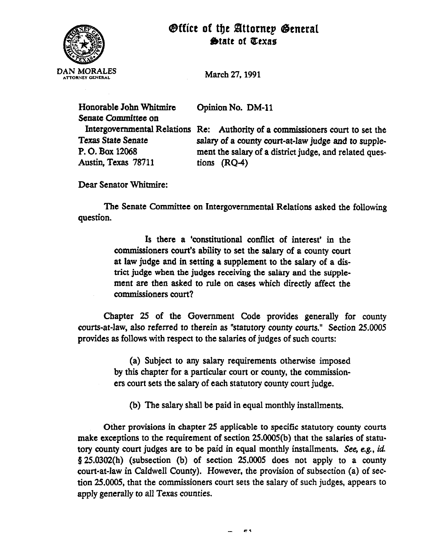



March 27,199l

Opinion No. DM-11

Senate Committee on Austin, Texas 78711 tions (RQ-4)

Honorable John Whitmire

Intergovernmental Relations Re: Authority of a commissioners court to set the<br>Texas State Senate<br>salary of a county court-at-law indee and to supple-Texas State Senate salary of a county court-at-law judge and to supple-<br>P. O. Box 12068 ment the salary of a district judge, and related quesment the salary of a district judge, and related ques-

Dear Senator Whitmire:

The Senate Committee on Intergovernmental Relations asked the following question.

> Is there a 'constitutional conflict of interest' in the commissioners court's ability to set the salary of a county court at law judge and in setting a supplement to the salary of a district judge when the judges receiving the salary and the supplement are then asked to rule on cases which directly affect the commissioners court?

Chapter 25 of the Government Code provides generally for county courts-at-law, also referred to therein as "statutory county courts." Section 25.0005 provides as follows with respect to the salaries of judges of such courts:

> (a) Subject to any salary requirements otherwise imposed by this chapter for a particular court or county, the commissioners court sets the salary of each statutory county court judge.

(b) The salary shall be paid in equal monthly installments.

Other provisions in chapter 25 applicable to specific statutory county courts make exceptions to the requirement of section 25.0005(b) that the salaries of statutory county court judges are to be paid in equal monthly installments. See, e.g., *id.*   $$25.0302(h)$  (subsection (b) of section 25.0005 does not apply to a county court-at-law in Caldwell County). However, the provision of subsection (a) of section 25.0005, that the commissioners court sets the salary of such judges, appears to apply generally to all Texas counties.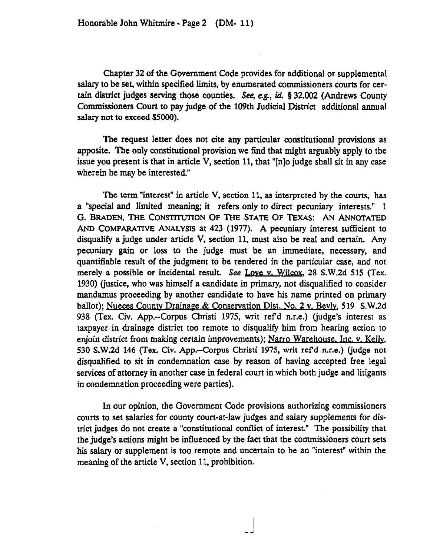Chapter 32 of the Government Code provides for additional or supplemental salary to be set, within specified limits, by enumerated commissioners courts for certain district judges serving those counties. See, e.g., id. § 32.002 (Andrews County Commissioners Court to pay judge of the 109th Judicial District additional annual salary not to exceed \$5000).

The request letter does not cite any particular constitutional provisions as apposite. The only constitutional provision we find that might arguably apply to the issue you present is that in article V, section 11, that "[n]o judge shall sit in any case wherein he may be interested."

The term "interest" in article V, section 11, as interpreted by the courts, has a "special and limited meaning; it refers only ro direct pecuniary interests." 1 G. BRADEN, THE CONSTITUTION OF THE STATE OF TEXAS: AN ANNOTATED AND COMPARATIVE ANALYSIS at 423 (1977). A pecuniary interest sufficient to disqualify a judge under article V, section 11, must also be real and certain. Any pecuniary gain or loss to the judge must be an immediate, necessary, and quantifiable result of the judgment to be rendered in the particular case, and not merely a possible or incidental result. See Love v. Wilcox, 28 S.W.2d 515 (Tex. 1930) (justice, who was himself a candidate in primary, not disqualified to consider mandamus proceeding by another candidate to have his name printed on primary ballot); Nueces County Drainage & Conservation Dist. No. 2 y. Bevly, 519 S.W.2d 938 (Tex. Civ. App.--Corpus Christi 1975, writ refd n.r.e.) (judge's interest as taxpayer in drainage district too remote to disqualify him from hearing action to enjoin district from making certain improvements); Narro Warehouse. Inc. v. Kelly, 530 S.W.2d 146 (Tex. Civ. App.--Corpus Christi 1975, writ refd n.r.e.) (judge no; disqualified to sit in condemnation case by reason of having accepted free legal services of attorney in another case in federal court in which both judge and litigants in condemnation proceeding were parties).

In our opinion, the Government Code provisions authorizing commissioners courts to set salaries for county court-at-law judges and salary supplements for district judges do not create a "constitutional conflict of interest." The possibility that the judge's actions might be influenced by the fact that the commissioners court sets his salary or supplement is too remote and uncertain to be an "interest" within the meaning of the article V, section 11, prohibition.